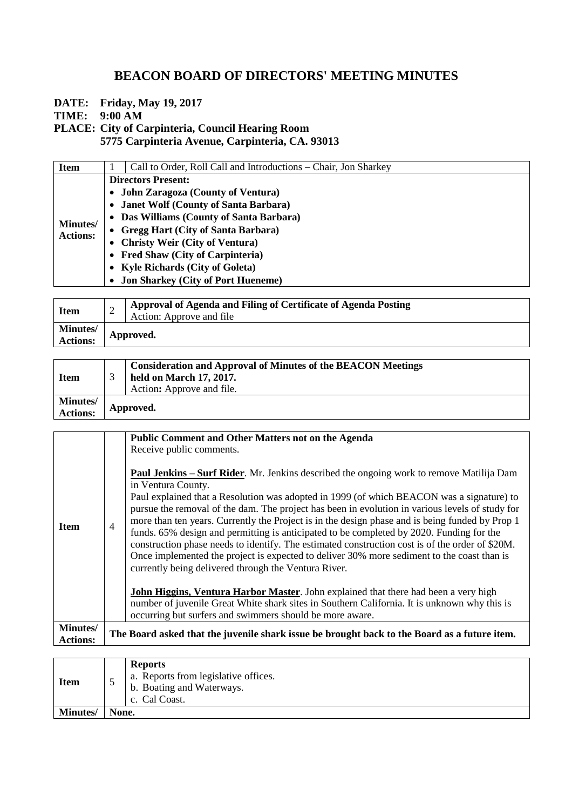## **BEACON BOARD OF DIRECTORS' MEETING MINUTES**

**DATE: Friday, May 19, 2017**

**TIME: 9:00 AM**

**PLACE: City of Carpinteria, Council Hearing Room**

**5775 Carpinteria Avenue, Carpinteria, CA. 93013**

| <b>Item</b>                        | Call to Order, Roll Call and Introductions – Chair, Jon Sharkey |  |  |
|------------------------------------|-----------------------------------------------------------------|--|--|
| <b>Minutes/</b><br><b>Actions:</b> | <b>Directors Present:</b>                                       |  |  |
|                                    | • John Zaragoza (County of Ventura)                             |  |  |
|                                    | • Janet Wolf (County of Santa Barbara)                          |  |  |
|                                    | • Das Williams (County of Santa Barbara)                        |  |  |
|                                    | • Gregg Hart (City of Santa Barbara)                            |  |  |
|                                    | • Christy Weir (City of Ventura)                                |  |  |
|                                    | • Fred Shaw (City of Carpinteria)                               |  |  |
|                                    | • Kyle Richards (City of Goleta)                                |  |  |
|                                    | • Jon Sharkey (City of Port Hueneme)                            |  |  |
|                                    |                                                                 |  |  |

| <b>Item</b>                        | ∸         | Approval of Agenda and Filing of Certificate of Agenda Posting<br>Action: Approve and file |
|------------------------------------|-----------|--------------------------------------------------------------------------------------------|
| <b>Minutes/</b><br><b>Actions:</b> | Approved. |                                                                                            |
|                                    |           |                                                                                            |

| <b>Item</b>          |           | <b>Consideration and Approval of Minutes of the BEACON Meetings</b><br>held on March 17, 2017.<br>Action: Approve and file. |
|----------------------|-----------|-----------------------------------------------------------------------------------------------------------------------------|
| Minutes/<br>Actions: | Approved. |                                                                                                                             |

|                                    |                | <b>Public Comment and Other Matters not on the Agenda</b>                                                                                                                                                                                                                                                                                                                                                                                                                                                                                                                                                                                                                                                                                                                      |
|------------------------------------|----------------|--------------------------------------------------------------------------------------------------------------------------------------------------------------------------------------------------------------------------------------------------------------------------------------------------------------------------------------------------------------------------------------------------------------------------------------------------------------------------------------------------------------------------------------------------------------------------------------------------------------------------------------------------------------------------------------------------------------------------------------------------------------------------------|
|                                    |                | Receive public comments.                                                                                                                                                                                                                                                                                                                                                                                                                                                                                                                                                                                                                                                                                                                                                       |
| <b>Item</b>                        | $\overline{4}$ | <b>Paul Jenkins – Surf Rider</b> . Mr. Jenkins described the ongoing work to remove Matilija Dam<br>in Ventura County.<br>Paul explained that a Resolution was adopted in 1999 (of which BEACON was a signature) to<br>pursue the removal of the dam. The project has been in evolution in various levels of study for<br>more than ten years. Currently the Project is in the design phase and is being funded by Prop 1<br>funds. 65% design and permitting is anticipated to be completed by 2020. Funding for the<br>construction phase needs to identify. The estimated construction cost is of the order of \$20M.<br>Once implemented the project is expected to deliver 30% more sediment to the coast than is<br>currently being delivered through the Ventura River. |
|                                    |                | <b>John Higgins, Ventura Harbor Master</b> . John explained that there had been a very high<br>number of juvenile Great White shark sites in Southern California. It is unknown why this is<br>occurring but surfers and swimmers should be more aware.                                                                                                                                                                                                                                                                                                                                                                                                                                                                                                                        |
| <b>Minutes/</b><br><b>Actions:</b> |                | The Board asked that the juvenile shark issue be brought back to the Board as a future item.                                                                                                                                                                                                                                                                                                                                                                                                                                                                                                                                                                                                                                                                                   |

| <b>Item</b>     |       | <b>Reports</b><br>a. Reports from legislative offices.<br>b. Boating and Waterways.<br>c. Cal Coast. |
|-----------------|-------|------------------------------------------------------------------------------------------------------|
| <b>Minutes/</b> | None. |                                                                                                      |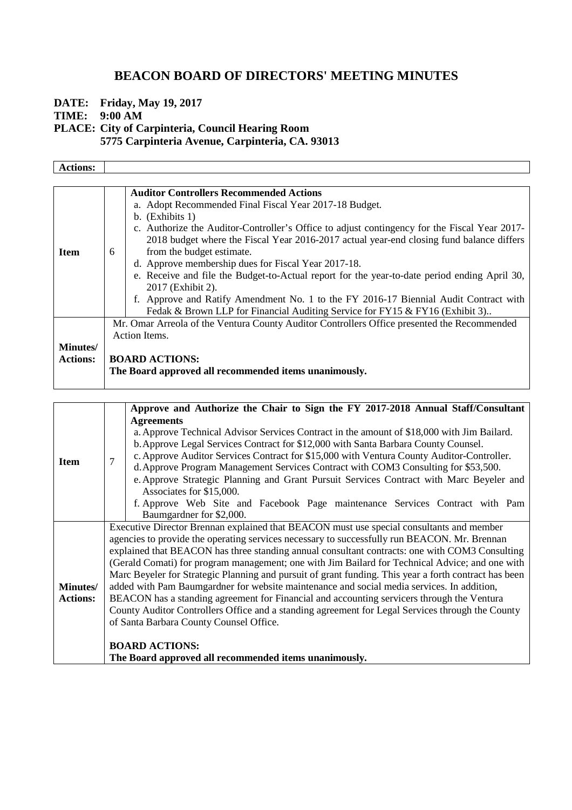## **BEACON BOARD OF DIRECTORS' MEETING MINUTES**

**DATE: Friday, May 19, 2017 TIME: 9:00 AM PLACE: City of Carpinteria, Council Hearing Room**

**5775 Carpinteria Avenue, Carpinteria, CA. 93013**

| <b>Actions:</b>                     |                                                                                                                                                                                                                                                                                                                                                                                                                                                                                                                                                                                                                               |  |
|-------------------------------------|-------------------------------------------------------------------------------------------------------------------------------------------------------------------------------------------------------------------------------------------------------------------------------------------------------------------------------------------------------------------------------------------------------------------------------------------------------------------------------------------------------------------------------------------------------------------------------------------------------------------------------|--|
| <b>Item</b>                         | <b>Auditor Controllers Recommended Actions</b><br>a. Adopt Recommended Final Fiscal Year 2017-18 Budget.<br>b. (Exhibits 1)<br>c. Authorize the Auditor-Controller's Office to adjust contingency for the Fiscal Year 2017-<br>2018 budget where the Fiscal Year 2016-2017 actual year-end closing fund balance differs<br>from the budget estimate.<br>6<br>d. Approve membership dues for Fiscal Year 2017-18.<br>e. Receive and file the Budget-to-Actual report for the year-to-date period ending April 30,<br>2017 (Exhibit 2).<br>f. Approve and Ratify Amendment No. 1 to the FY 2016-17 Biennial Audit Contract with |  |
| <b>Minutes</b> /<br><b>Actions:</b> | Fedak & Brown LLP for Financial Auditing Service for FY15 & FY16 (Exhibit 3)<br>Mr. Omar Arreola of the Ventura County Auditor Controllers Office presented the Recommended<br>Action Items.<br><b>BOARD ACTIONS:</b><br>The Board approved all recommended items unanimously.                                                                                                                                                                                                                                                                                                                                                |  |

|                 |                                                                                                       | Approve and Authorize the Chair to Sign the FY 2017-2018 Annual Staff/Consultant           |  |
|-----------------|-------------------------------------------------------------------------------------------------------|--------------------------------------------------------------------------------------------|--|
| <b>Item</b>     |                                                                                                       | <b>Agreements</b>                                                                          |  |
|                 | 7                                                                                                     | a. Approve Technical Advisor Services Contract in the amount of \$18,000 with Jim Bailard. |  |
|                 |                                                                                                       | b. Approve Legal Services Contract for \$12,000 with Santa Barbara County Counsel.         |  |
|                 |                                                                                                       | c. Approve Auditor Services Contract for \$15,000 with Ventura County Auditor-Controller.  |  |
|                 |                                                                                                       | d. Approve Program Management Services Contract with COM3 Consulting for \$53,500.         |  |
|                 |                                                                                                       | e. Approve Strategic Planning and Grant Pursuit Services Contract with Marc Beyeler and    |  |
|                 |                                                                                                       | Associates for \$15,000.                                                                   |  |
|                 |                                                                                                       | f. Approve Web Site and Facebook Page maintenance Services Contract with Pam               |  |
|                 |                                                                                                       | Baumgardner for \$2,000.                                                                   |  |
|                 |                                                                                                       | Executive Director Brennan explained that BEACON must use special consultants and member   |  |
|                 | agencies to provide the operating services necessary to successfully run BEACON. Mr. Brennan          |                                                                                            |  |
|                 | explained that BEACON has three standing annual consultant contracts: one with COM3 Consulting        |                                                                                            |  |
|                 | (Gerald Comati) for program management; one with Jim Bailard for Technical Advice; and one with       |                                                                                            |  |
|                 | Marc Beyeler for Strategic Planning and pursuit of grant funding. This year a forth contract has been |                                                                                            |  |
| <b>Minutes/</b> | added with Pam Baumgardner for website maintenance and social media services. In addition,            |                                                                                            |  |
| <b>Actions:</b> | BEACON has a standing agreement for Financial and accounting servicers through the Ventura            |                                                                                            |  |
|                 | County Auditor Controllers Office and a standing agreement for Legal Services through the County      |                                                                                            |  |
|                 |                                                                                                       | of Santa Barbara County Counsel Office.                                                    |  |
|                 |                                                                                                       |                                                                                            |  |
|                 |                                                                                                       | <b>BOARD ACTIONS:</b>                                                                      |  |
|                 |                                                                                                       | The Board approved all recommended items unanimously.                                      |  |